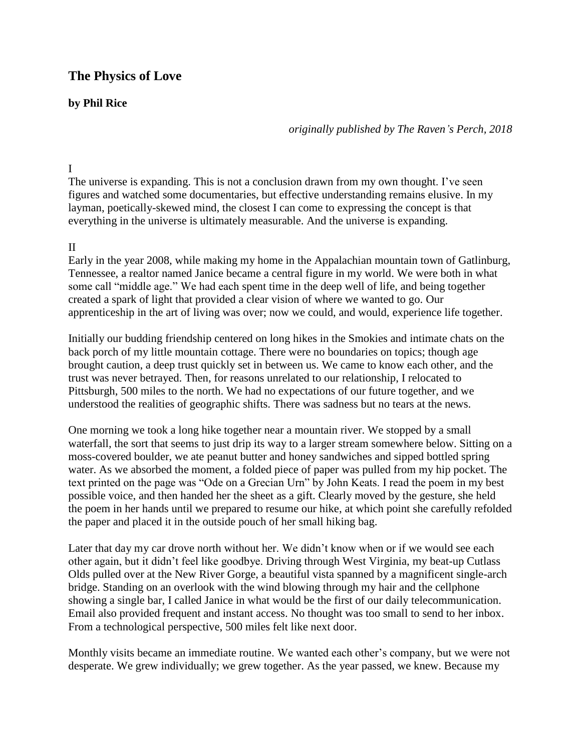# **The Physics of Love**

## **by Phil Rice**

*originally published by The Raven's Perch, 2018*

### I

The universe is expanding. This is not a conclusion drawn from my own thought. I've seen figures and watched some documentaries, but effective understanding remains elusive. In my layman, poetically-skewed mind, the closest I can come to expressing the concept is that everything in the universe is ultimately measurable. And the universe is expanding.

## II

Early in the year 2008, while making my home in the Appalachian mountain town of Gatlinburg, Tennessee, a realtor named Janice became a central figure in my world. We were both in what some call "middle age." We had each spent time in the deep well of life, and being together created a spark of light that provided a clear vision of where we wanted to go. Our apprenticeship in the art of living was over; now we could, and would, experience life together.

Initially our budding friendship centered on long hikes in the Smokies and intimate chats on the back porch of my little mountain cottage. There were no boundaries on topics; though age brought caution, a deep trust quickly set in between us. We came to know each other, and the trust was never betrayed. Then, for reasons unrelated to our relationship, I relocated to Pittsburgh, 500 miles to the north. We had no expectations of our future together, and we understood the realities of geographic shifts. There was sadness but no tears at the news.

One morning we took a long hike together near a mountain river. We stopped by a small waterfall, the sort that seems to just drip its way to a larger stream somewhere below. Sitting on a moss-covered boulder, we ate peanut butter and honey sandwiches and sipped bottled spring water. As we absorbed the moment, a folded piece of paper was pulled from my hip pocket. The text printed on the page was "Ode on a Grecian Urn" by John Keats. I read the poem in my best possible voice, and then handed her the sheet as a gift. Clearly moved by the gesture, she held the poem in her hands until we prepared to resume our hike, at which point she carefully refolded the paper and placed it in the outside pouch of her small hiking bag.

Later that day my car drove north without her. We didn't know when or if we would see each other again, but it didn't feel like goodbye. Driving through West Virginia, my beat-up Cutlass Olds pulled over at the New River Gorge, a beautiful vista spanned by a magnificent single-arch bridge. Standing on an overlook with the wind blowing through my hair and the cellphone showing a single bar, I called Janice in what would be the first of our daily telecommunication. Email also provided frequent and instant access. No thought was too small to send to her inbox. From a technological perspective, 500 miles felt like next door.

Monthly visits became an immediate routine. We wanted each other's company, but we were not desperate. We grew individually; we grew together. As the year passed, we knew. Because my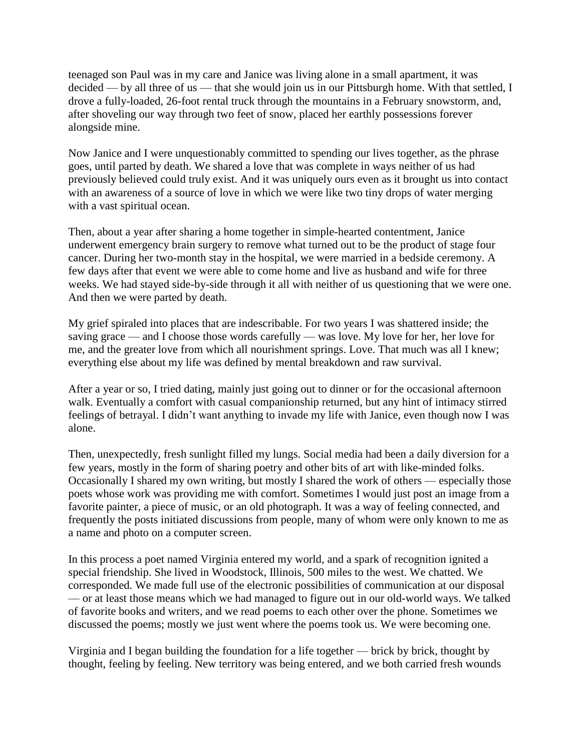teenaged son Paul was in my care and Janice was living alone in a small apartment, it was decided — by all three of us — that she would join us in our Pittsburgh home. With that settled, I drove a fully-loaded, 26-foot rental truck through the mountains in a February snowstorm, and, after shoveling our way through two feet of snow, placed her earthly possessions forever alongside mine.

Now Janice and I were unquestionably committed to spending our lives together, as the phrase goes, until parted by death. We shared a love that was complete in ways neither of us had previously believed could truly exist. And it was uniquely ours even as it brought us into contact with an awareness of a source of love in which we were like two tiny drops of water merging with a vast spiritual ocean.

Then, about a year after sharing a home together in simple-hearted contentment, Janice underwent emergency brain surgery to remove what turned out to be the product of stage four cancer. During her two-month stay in the hospital, we were married in a bedside ceremony. A few days after that event we were able to come home and live as husband and wife for three weeks. We had stayed side-by-side through it all with neither of us questioning that we were one. And then we were parted by death.

My grief spiraled into places that are indescribable. For two years I was shattered inside; the saving grace — and I choose those words carefully — was love. My love for her, her love for me, and the greater love from which all nourishment springs. Love. That much was all I knew; everything else about my life was defined by mental breakdown and raw survival.

After a year or so, I tried dating, mainly just going out to dinner or for the occasional afternoon walk. Eventually a comfort with casual companionship returned, but any hint of intimacy stirred feelings of betrayal. I didn't want anything to invade my life with Janice, even though now I was alone.

Then, unexpectedly, fresh sunlight filled my lungs. Social media had been a daily diversion for a few years, mostly in the form of sharing poetry and other bits of art with like-minded folks. Occasionally I shared my own writing, but mostly I shared the work of others — especially those poets whose work was providing me with comfort. Sometimes I would just post an image from a favorite painter, a piece of music, or an old photograph. It was a way of feeling connected, and frequently the posts initiated discussions from people, many of whom were only known to me as a name and photo on a computer screen.

In this process a poet named Virginia entered my world, and a spark of recognition ignited a special friendship. She lived in Woodstock, Illinois, 500 miles to the west. We chatted. We corresponded. We made full use of the electronic possibilities of communication at our disposal — or at least those means which we had managed to figure out in our old-world ways. We talked of favorite books and writers, and we read poems to each other over the phone. Sometimes we discussed the poems; mostly we just went where the poems took us. We were becoming one.

Virginia and I began building the foundation for a life together — brick by brick, thought by thought, feeling by feeling. New territory was being entered, and we both carried fresh wounds